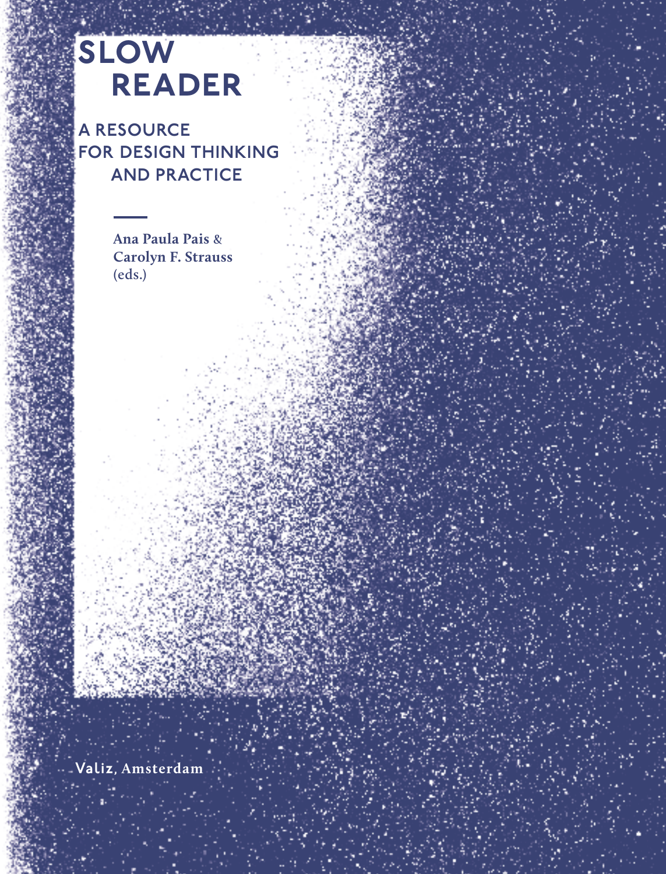# slow reader

A RESOURCE FOR DESIGN THINKING AND PRACTICE

> **Ana Paula Pais & Carolyn F. Strauss (eds.)**

Valiz, **Amsterdam**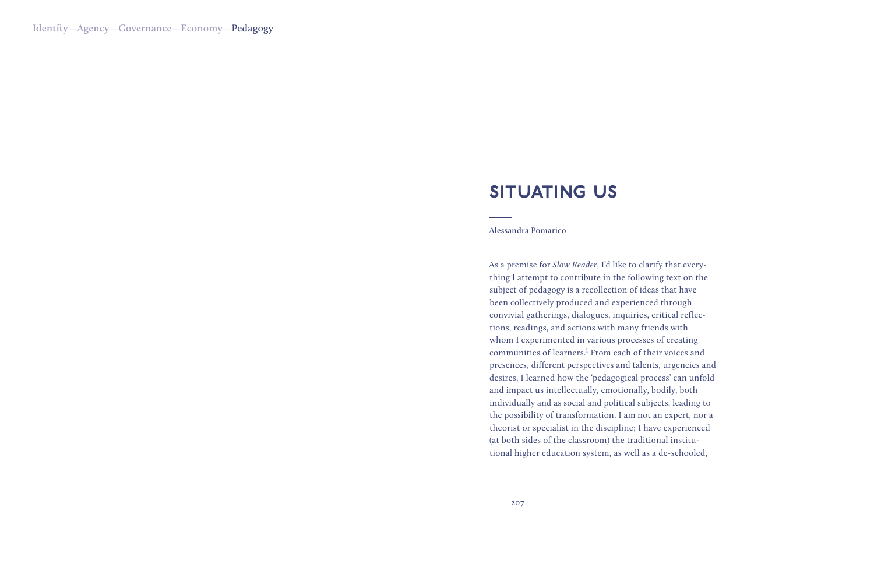# **SITUATING US**

#### **Alessandra Pomarico**

As a premise for *Slow Reader*, I'd like to clarify that everything I attempt to contribute in the following text on the subject of pedagogy is a recollection of ideas that have been collectively produced and experienced through convivial gatherings, dialogues, inquiries, critical reflections, readings, and actions with many friends with whom I experimented in various processes of creating communities of learners.<sup>1</sup> From each of their voices and presences, different perspectives and talents, urgencies and desires, I learned how the 'pedagogical process' can unfold and impact us intellectually, emotionally, bodily, both individually and as social and political subjects, leading to the possibility of transformation. I am not an expert, nor a theorist or specialist in the discipline; I have experienced (at both sides of the classroom) the traditional institutional higher education system, as well as a de-schooled,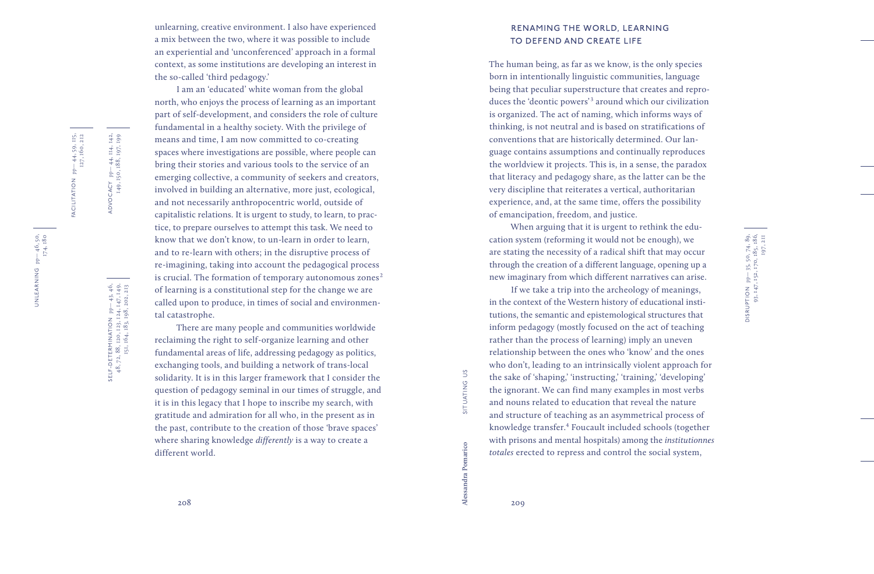unlearning, creative environment. I also have experienced a mix between the two, where it was possible to include an experiential and 'unconferenced' approach in a formal context, as some institutions are developing an interest in the so -called 'third pedagogy.'

I am an 'educated' white woman from the global north, who enjoys the process of learning as an important part of self-development, and considers the role of culture fundamental in a healthy society. With the privilege of means and time, I am now committed to co -creating spaces where investigations are possible, where people can bring their stories and various tools to the service of an emerging collective, a community of seekers and creators, involved in building an alternative, more just, ecological, and not necessarily anthropocentric world, outside of capitalistic relations. It is urgent to study, to learn, to practice, to prepare ourselves to attempt this task. We need to know that we don't know, to un -learn in order to learn, and to re -learn with others; in the disruptive process of re -imagining, taking into account the pedagogical process is crucial. The formation of temporary autonomous zones $^{\text{2}}$ of learning is a constitutional step for the change we are called upon to produce, in times of social and environmen tal catastrophe.

There are many people and communities worldwide reclaiming the right to self -organize learning and other fundamental areas of life, addressing pedagogy as politics, exchanging tools, and building a network of trans -local solidarity. It is in this larger framework that I consider the question of pedagogy seminal in our times of struggle, and it is in this legacy that I hope to inscribe my search, with gratitude and admiration for all who, in the present as in the past, contribute to the creation of those 'brave spaces' where sharing knowledge *differently* is a way to create a different world.

## RENAMING THE WORLD, LEARNING TO DEFEND AND CREATE LIFE

The human being, as far as we know, is the only species born in intentionally linguistic communities, language being that peculiar superstructure that creates and repro duces the 'deontic powers' 3 around which our civilization is organized. The act of naming, which informs ways of thinking, is not neutral and is based on stratifications of conventions that are historically determined. Our lan guage contains assumptions and continually reproduces the worldview it projects. This is, in a sense, the paradox that literacy and pedagogy share, as the latter can be the very discipline that reiterates a vertical, authoritarian experience, and, at the same time, offers the possibility of emancipation, freedom, and justice.

When arguing that it is urgent to rethink the education system (reforming it would not be enough), we are stating the necessity of a radical shift that may occur through the creation of a different language, opening up a new imaginary from which different narratives can arise.

If we take a trip into the archeology of meanings, in the context of the Western history of educational institutions, the semantic and epistemological structures that inform pedagogy (mostly focused on the act of teaching rather than the process of learning) imply an uneven relationship between the ones who 'know' and the ones who don't, leading to an intrinsically violent approach for the sake of 'shaping,' 'instructing,' 'training,' 'developing' the ignorant. We can find many examples in most verbs and nouns related to education that reveal the nature and structure of teaching as an asymmetrical process of knowledge transfer. 4 Foucault included schools (together with prisons and mental hospitals) among the *institutionnes totales* erected to repress and control the social system,

DISRUPTION pp— 35, 50, 74, 89, 93, 147, 152, 170, 185, 186, DISRUPTION pp— 35, 50, 74, 89,<br>93, 147, 152, 170, 185, 186,<br>197, 211

FACILITATION pp— 44, 59, 115,

FACILITATION  $pp-44, 59, 115,$ <br> $127, 160, 212$ 

127, 160, 212

UNLEARNING pp— 46, 50, UNLEARNING pp-46, 50,<br>174, 180

SELF-DETERMINATION pp-43, 46,<br>48, 72, 88, 120, 123, 124, 147, 149,<br>151, 164, 183, 198, 202, 213 SELF-DETERMINATION pp— 43, 46, 48, 72, 88, 120, 123, 124, 147, 149, 151, 164, 183, 198, 202, 213

ADVOCACY pp— 44, 114, 142, 149, 150, 188, 197, 199

ADVOCACY pp-44, 114, 142,<br>149, 150, 188, 197, 199

**Alessandra Pomarico** situating us

SITUATING US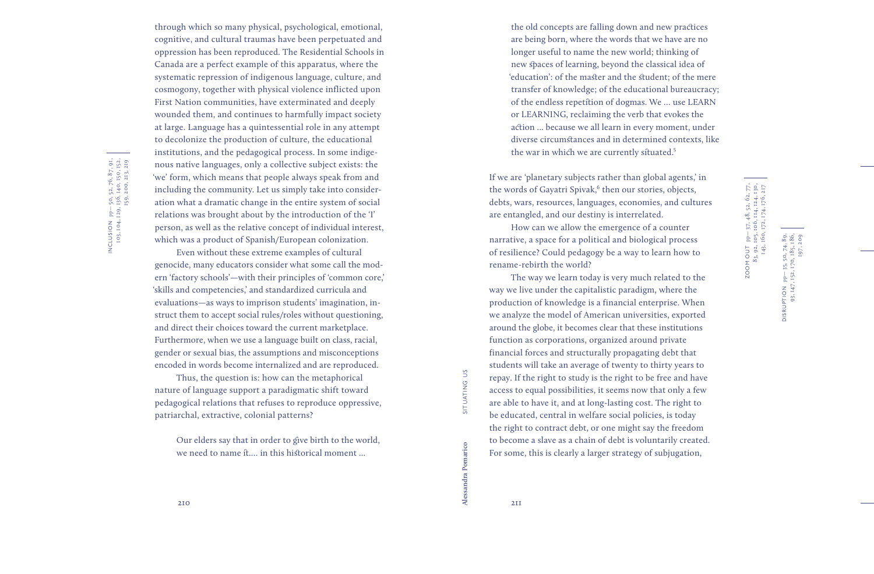INCLUSION pp— 50, 52, 76, 87, 91, 103, 104, 129, 136, 140, 150, 152, NCLUSION pp-50, 52, 76, 87, 91,<br>103, 104, 129, 136, 140, 150, 152,<br>159, 200, 213, 219 159, 200, 213, 219

through which so many physical, psychological, emotional, cognitive, and cultural traumas have been perpetuated and oppression has been reproduced. The Residential Schools in Canada are a perfect example of this apparatus, where the systematic repression of indigenous language, culture, and cosmogony, together with physical violence inflicted upon First Nation communities, have exterminated and deeply wounded them, and continues to harmfully impact society at large. Language has a quintessential role in any attempt to decolonize the production of culture, the educational institutions, and the pedagogical process. In some indige nous native languages, only a collective subject exists: the 'we' form, which means that people always speak from and including the community. Let us simply take into consider ation what a dramatic change in the entire system of social relations was brought about by the introduction of the 'I' person, as well as the relative concept of individual interest, which was a product of Spanish/European colonization.

Even without these extreme examples of cultural genocide, many educators consider what some call the mod ern 'factory schools'—with their principles of 'common core,' 'skills and competencies,' and standardized curricula and evaluations—as ways to imprison students' imagination, in struct them to accept social rules/roles without questioning, and direct their choices toward the current marketplace. Furthermore, when we use a language built on class, racial, gender or sexual bias, the assumptions and misconceptions encoded in words become internalized and are reproduced.

Thus, the question is: how can the metaphorical nature of language support a paradigmatic shift toward pedagogical relations that refuses to reproduce oppressive, patriarchal, extractive, colonial patterns?

Our elders say that in order to give birth to the world, we need to name it.... in this historical moment ...

are being born, where the words that we have are no longer useful to name the new world; thinking of new spaces of learning, beyond the classical idea of 'education': of the master and the student; of the mere transfer of knowledge; of the educational bureaucracy; of the endless repetition of dogmas. We … use LEARN or LEARNING, reclaiming the verb that evokes the action ... because we all learn in every moment, under diverse circumstances and in determined contexts, like the war in which we are currently situated.<sup>5</sup>

the old concepts are falling down and new practices

If we are 'planetary subjects rather than global agents,' in the words of Gayatri Spivak, 6 then our stories, objects, debts, wars, resources, languages, economies, and cultures are entangled, and our destiny is interrelated.

How can we allow the emergence of a counter narrative, a space for a political and biological process of resilience? Could pedagogy be a way to learn how to rename -rebirth the world?

The way we learn today is very much related to the way we live under the capitalistic paradigm, where the production of knowledge is a financial enterprise. When we analyze the model of American universities, exported around the globe, it becomes clear that these institutions function as corporations, organized around private financial forces and structurally propagating debt that students will take an average of twenty to thirty years to repay. If the right to study is the right to be free and have access to equal possibilities, it seems now that only a few are able to have it, and at long -lasting cost. The right to be educated, central in welfare social policies, is today the right to contract debt, or one might say the freedom to become a slave as a chain of debt is voluntarily created. For some, this is clearly a larger strategy of subjugation,

DISRUPTION pp— 35, 50, 74, 89, 93, 147, 152, 170, 185, 186,

NOITANISIC

35, 50, 7  $p = 3$ <br>152, 197, 209

**Alessandra Pomarico** situating us

 $\tilde{c}$ 

SITUATING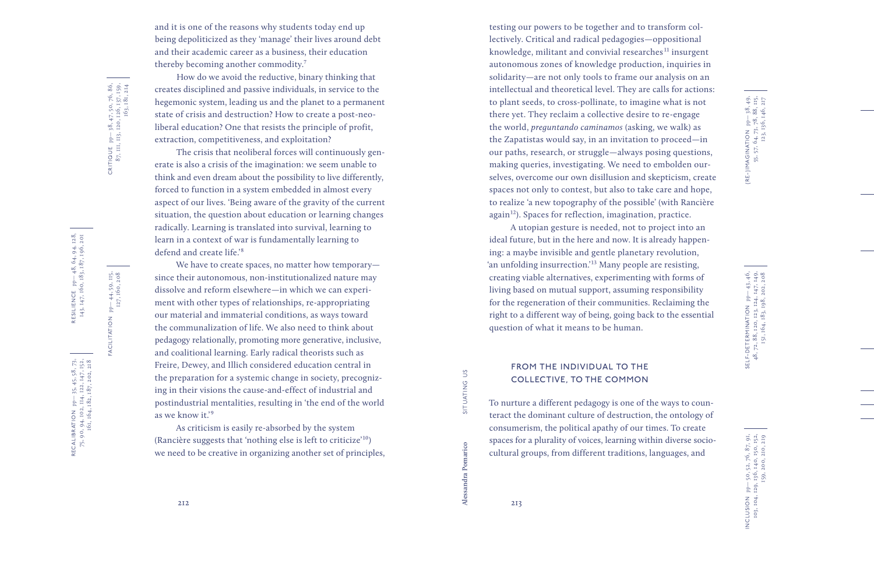(RE-)IMAGINATION pp- 38, 49,<br>55, 57, 64, 73, 78, 88, 115,<br>123, 136, 146, 217 (RE-)IMAGINATION pp— 38, 49, 55, 57, 64, 73, 78, 88, 115, 123, 136, 146, 217

 48, 72, 88, 120, 123, 124, 147, 149, SELF-DETERMINATION pp-43,46,<br>48, 72, 88, 120, 123, 124, 147, 149,<br>151, 164, 183, 198, 202, 208 SELF-DETERMINATION pp— 43, 46, 151, 164, 183, 198, 202, 208

pp-50, 52, 76, 87, 91,<br>, 129, 136, 140, 150, 152,<br>, 159, 200, 210, 219 INCLUSION pp— 50, 52, 76, 87, 91, 103, 104, 129, 136, 140, 150, 152, 159, 200, 210, 219 INCLUSION E

and it is one of the reasons why students today end up being depoliticized as they 'manage' their lives around debt and their academic career as a business, their education thereby becoming another commodity. 7

How do we avoid the reductive, binary thinking that creates disciplined and passive individuals, in service to the hegemonic system, leading us and the planet to a permanent state of crisis and destruction? How to create a post -neo liberal education? One that resists the principle of profit, extraction, competitiveness, and exploitation?

The crisis that neoliberal forces will continuously gen erate is also a crisis of the imagination: we seem unable to think and even dream about the possibility to live differently, forced to function in a system embedded in almost every aspect of our lives. 'Being aware of the gravity of the current situation, the question about education or learning changes radically. Learning is translated into survival, learning to learn in a context of war is fundamentally learning to defend and create life.' 8

We have to create spaces, no matter how temporary since their autonomous, non -institutionalized nature may dissolve and reform elsewhere—in which we can experiment with other types of relationships, re-appropriating our material and immaterial conditions, as ways toward the communalization of life. We also need to think about pedagogy relationally, promoting more generative, inclusive, and coalitional learning. Early radical theorists such as Freire, Dewey, and Illich considered education central in the preparation for a systemic change in society, precognizing in their visions the cause-and-effect of industrial and postindustrial mentalities, resulting in 'the end of the world as we know it.' 9

As criticism is easily re -absorbed by the system (Rancière suggests that 'nothing else is left to criticize'10) we need to be creative in organizing another set of principles,

testing our powers to be together and to transform collectively. Critical and radical pedagogies—oppositional knowledge, militant and convivial researches $11$  insurgent autonomous zones of knowledge production, inquiries in solidarity—are not only tools to frame our analysis on an intellectual and theoretical level. They are calls for actions: to plant seeds, to cross -pollinate, to imagine what is not there yet. They reclaim a collective desire to re -engage the world, *preguntando caminamos* (asking, we walk) as the Zapatistas would say, in an invitation to proceed—in our paths, research, or struggle—always posing questions, making queries, investigating. We need to embolden ourselves, overcome our own disillusion and skepticism, create spaces not only to contest, but also to take care and hope, to realize 'a new topography of the possible' (with Rancière again<sup>12</sup>). Spaces for reflection, imagination, practice.

A utopian gesture is needed, not to project into an ideal future, but in the here and now. It is already happening: a maybe invisible and gentle planetary revolution, 'an unfolding insurrection.'13 Many people are resisting, creating viable alternatives, experimenting with forms of living based on mutual support, assuming responsibility for the regeneration of their communities. Reclaiming the right to a different way of being, going back to the essential question of what it means to be human.

### FROM THE INDIVIDUAL TO THE COLLECTIVE, TO THE COMMON

To nurture a different pedagogy is one of the ways to counteract the dominant culture of destruction, the ontology of consumerism, the political apathy of our times. To create spaces for a plurality of voices, learning within diverse socio cultural groups, from different traditions, languages, and

SITUATING US

RESILIENCE pp— 48, 64, 94, 128, 143, 147, 160, 183, 187, 196, 201

RESILIENCE pp-48, 64, 94, 128,<br>143, 147, 160, 183, 187, 196, 201

RECALIBRATION pp— 35, 45, 58, 73, 75, 90, 94, 102, 114, 122, 147, 152, 161, 164, 182, 187, 202, 218

RECALIBRATION pp-35, 45, 58, 73,<br>75, 90, 94, 102, 114, 122, 147, 152,<br>161, 164, 182, 187, 202, 218

CRITIQUE pp— 38, 47, 50, 76, 86, 87, 111, 113, 120, 126, 137, 159,

CRITIQUE  $pp-38, 47, 50, 76, 86,$ <br> $87, 111, 113, 120, 126, 137, 159,$ <br> $163, 181, 214$ 

163, 181, 214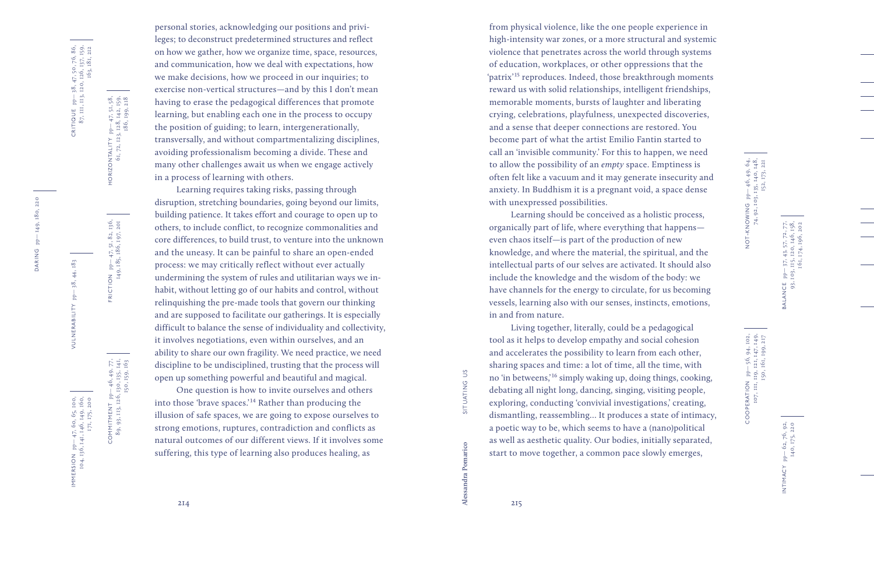CRITIQUE  $pp-38$ , 47, 50, 76, 86,<br>87, 111, 113, 120, 126, 137, 159,<br>163, 181, 212 CRITIQUE pp— 38, 47, 50, 76, 86, 87, 111, 113, 120, 126, 137, 159, 163, 181, 212

HORIZONTALITY pp— 47, 51, 58, 61, 72, 123, 128, 142, 159, 186, 199, 218

HORIZONTALITY  $pp-47, 51, 58,$ <br>61, 72, 123, 128, 142, 159,<br>186, 199, 218

FRICTION pp— 47, 51, 82, 136, 149, 185, 186, 197, 201

FRICTION pp-47, 51, 82, 136,<br>149, 185, 186, 197, 201

DARING pp-149, 180, 220 DARING pp-149, 180, 220

> RSION pp-47, 60, 65, 100,<br>104, 136, 141, 146, 149, 160,<br>171, 175, 200 IMMERSION pp— 47, 60, 65, 100,

VULNERABILITY pp— 38, 44, 183

VULNERABILITY

 $-$ 

 $38, 44, 183$ 

104, 136, 141, 146, 149, 160,

IMMERSION

171, 175, 200

 $COMMITMENT$   $pp-46, 49, 77,$ 89, 93, 113, 126, 130, 135, 141, COMMITMENT  $pp-89, 93, 113, 126, 15$ 

150, 159, 163

 $-46, 49, 77,$ <br>
130, 135, 141,<br>
150, 159, 163

personal stories, acknowledging our positions and privileges; to deconstruct predetermined structures and reflect on how we gather, how we organize time, space, resources, and communication, how we deal with expectations, how we make decisions, how we proceed in our inquiries; to exercise non -vertical structures—and by this I don't mean having to erase the pedagogical differences that promote learning, but enabling each one in the process to occupy the position of guiding; to learn, intergenerationally, transversally, and without compartmentalizing disciplines, avoiding professionalism becoming a divide. These and many other challenges await us when we engage actively in a process of learning with others.

Learning requires taking risks, passing through disruption, stretching boundaries, going beyond our limits, building patience. It takes effort and courage to open up to others, to include conflict, to recognize commonalities and core differences, to build trust, to venture into the unknown and the uneasy. It can be painful to share an open -ended process: we may critically reflect without ever actually undermining the system of rules and utilitarian ways we in habit, without letting go of our habits and control, without relinquishing the pre -made tools that govern our thinking and are supposed to facilitate our gatherings. It is especially difficult to balance the sense of individuality and collectivity, it involves negotiations, even within ourselves, and an ability to share our own fragility. We need practice, we need discipline to be undisciplined, trusting that the process will open up something powerful and beautiful and magical.

One question is how to invite ourselves and others into those 'brave spaces.'14 Rather than producing the illusion of safe spaces, we are going to expose ourselves to strong emotions, ruptures, contradiction and conflicts as natural outcomes of our different views. If it involves some suffering, this type of learning also produces healing, as

from physical violence, like the one people experience in high -intensity war zones, or a more structural and systemic violence that penetrates across the world through systems of education, workplaces, or other oppressions that the 'patrix'15 reproduces. Indeed, those breakthrough moments reward us with solid relationships, intelligent friendships, memorable moments, bursts of laughter and liberating crying, celebrations, playfulness, unexpected discoveries, and a sense that deeper connections are restored. You become part of what the artist Emilio Fantin started to call an 'invisible community.' For this to happen, we need to allow the possibility of an *empty* space. Emptiness is often felt like a vacuum and it may generate insecurity and anxiety. In Buddhism it is a pregnant void, a space dense with unexpressed possibilities.

Learning should be conceived as a holistic process, organically part of life, where everything that happens even chaos itself—is part of the production of new knowledge, and where the material, the spiritual, and the intellectual parts of our selves are activated. It should also include the knowledge and the wisdom of the body: we have channels for the energy to circulate, for us becoming vessels, learning also with our senses, instincts, emotions, in and from nature.

Living together, literally, could be a pedagogical tool as it helps to develop empathy and social cohesion and accelerates the possibility to learn from each other, sha ring spaces and time: a lot of time, all the time, with no 'in betweens,'16 simply waking up, doing things, cooking, debating all night long, dancing, singing, visiting people, exploring, conducting 'convivial investigations,' creating, dismantling, reassembling… It produces a state of intimacy, a poetic way to be, which seems to have a (nano)political as well as aesthetic quality. Our bodies, initially separated, start to move together, a common pace slowly emerges,

NOT-KNOWING pp-46, 49, 64, 49, 64, 74, 92, 103, 135, 140, 148, 148, NOT-KNOWING pp— 46, 49, 64, 74, 92, 103, 135, 140, 148, 152, 173, 221

BALANCE pp— 37, 43, 57, 72, 77, 93, 103, 115, 120, 146, 158, 161, 174, 196, 202

BALANCE<br>93, 1

pp – 37, 43, 57, 72, 77,<br>103, 115, 120, 146, 158,<br>161, 174, 196, 202

COOPERATION  $pp-56$ , 94, 102,<br>107, 111, 119, 121, 147, 149,<br>150, 161, 199, 217 COOPERATION pp— 56, 94, 102, 107, 111, 119, 121, 147, 149, 150, 161, 199, 217

**Alessandra Pomarico** situating us

SITUATING US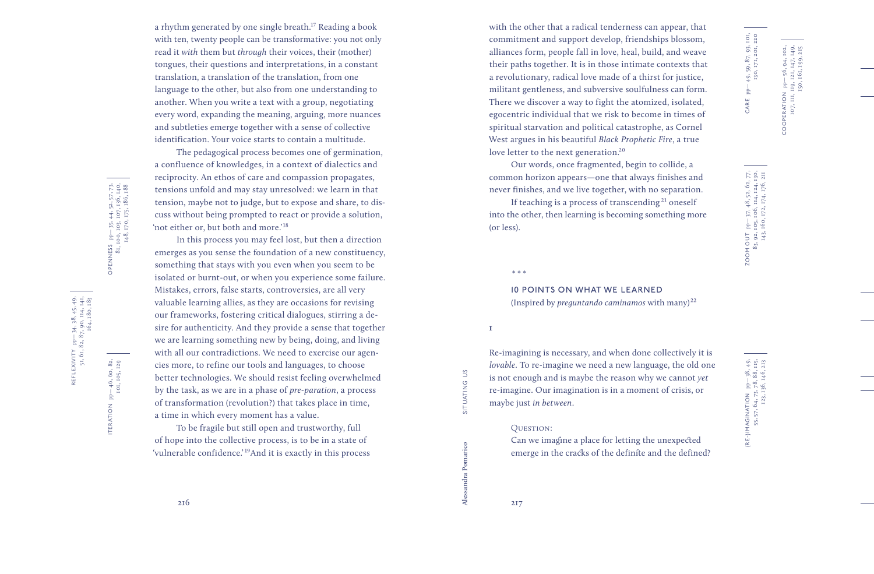a rhythm generated by one single breath.17 Reading a book with ten, twenty people can be transformative: you not only read it *with* them but *through* their voices, their (mother) tongues, their questions and interpretations, in a constant translation, a translation of the translation, from one language to the other, but also from one understanding to another. When you write a text with a group, negotiating every word, expanding the meaning, arguing, more nuances and subtleties emerge together with a sense of collective identification. Your voice starts to contain a multitude.

The pedagogical process becomes one of germination, a confluence of knowledges, in a context of dialectics and reciprocity. An ethos of care and compassion propagates, tensions unfold and may stay unresolved: we learn in that tension, maybe not to judge, but to expose and share, to dis cuss without being prompted to react or provide a solution, 'not either or, but both and more.'18

In this process you may feel lost, but then a direction emerges as you sense the foundation of a new constituency, something that stays with you even when you seem to be isolated or burnt -out, or when you experience some failure. Mistakes, errors, false starts, controversies, are all very valuable learning allies, as they are occasions for revising our frameworks, fostering critical dialogues, stirring a de sire for authenticity. And they provide a sense that together we are learning something new by being, doing, and living with all our contradictions. We need to exercise our agencies more, to refine our tools and languages, to choose better technologies. We should resist feeling overwhelmed by the task, as we are in a phase of *pre-paration*, a process of transformation (revolution?) that takes place in time, a time in which every moment has a value.

To be fragile but still open and trustworthy, full of hope into the collective process, is to be in a state of 'vulnerable confidence.'19And it is exactly in this process

with the other that a radical tenderness can appear, that commitment and support develop, friendships blossom, alliances form, people fall in love, heal, build, and weave their paths together. It is in those intimate contexts that a revolutionary, radical love made of a thirst for justice, militant gentleness, and subversive soulfulness can form. There we discover a way to fight the atomized, isolated, egocentric individual that we risk to become in times of spiritual starvation and political catastrophe, as Cornel West argues in his beautiful *Black Prophetic Fire*, a true love letter to the next generation.<sup>20</sup>

Our words, once fragmented, begin to collide, a common horizon appears—one that always finishes and never finishes, and we live together, with no separation.

If teaching is a process of transcending  $21$  oneself into the other, then learning is becoming something more (or less).

10 POINTS ON WHAT WE LEARNED (Inspired by *preguntando caminamos* with many)<sup>22</sup>

**1**

\*\*\*

Re -imagining is necessary, and when done collectively it is *lovable*. To re -imagine we need a new language, the old one is not enough and is maybe the reason why we cannot *yet* re -imagine. Our imagination is in a moment of crisis, or maybe just *in between*.

#### QUESTION:

Can we imagine a place for letting the unexpected emerge in the cracks of the definite and the defined? (RE-)IMAGINATION  $pp-38, 49, 55, 57, 64, 73, 78, 88, 115, 123, 136, 146, 213$ (RE-)IMAGINATION pp— 38, 49, 55, 57, 64, 73, 78, 88, 115, 123, 136, 146, 213

216  $\overline{z}$  217

**Alessandra Pomarico** situating us

SITUATING US

OPENNESS pp— 35, 44, 52, 57, 73, 81, 100, 103, 107, 136, 140, 148, 170, 175, 186, 188

OPENNESS pp-35, 44, 52, 57, 73,<br>81, 100, 103, 107, 136, 140,<br>148, 170, 175, 186, 188

ITERATION pp— 46, 60, 82,

ITERATION

101, 105, 129

 $pp-46, 60, 82,$ <br>101, 105, 129

CARE pp— 49, 59, 87, 93, 101, 130, 171, 201, 220

 $\frac{1}{p}$ 

CARE

49, 59, 87, 93, 101,<br>130, 171, 201, 220

83, 92, 105, 106, 114, 124, 130, 143, 160, 172, 174, 176, 211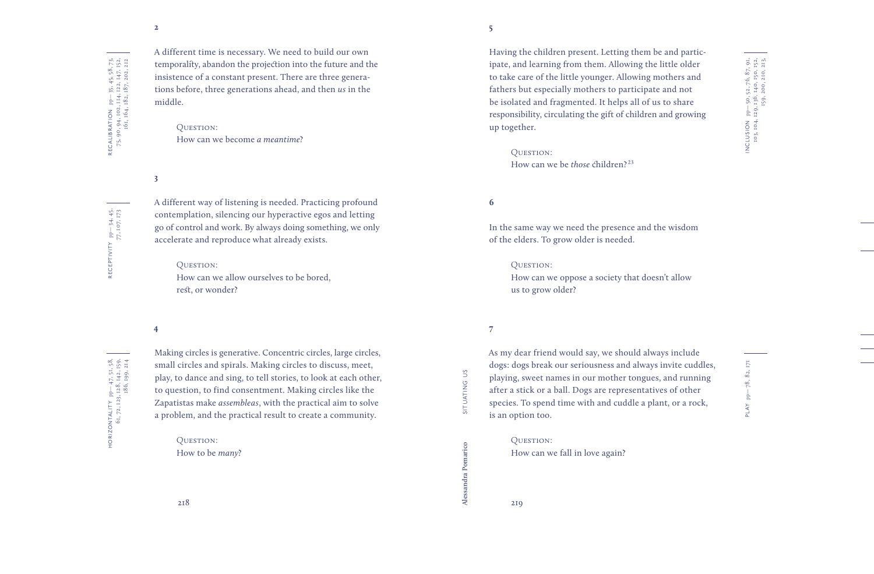RECEPTIVITY pp— 34, 45,

RECEPTIVITY

77, 107, 173

 $pp-34, 45,$ <br>77, 107, 173

A different time is necessary. We need to build our own temporality, abandon the projection into the future and the insistence of a constant present. There are three generations before, three generations ahead, and then *us* in the middle.

> QUESTION: How can we become *a meantime* ?

**3**

A different way of listening is needed. Practicing profound contemplation, silencing our hyperactive egos and letting go of control and work. By always doing something, we only accelerate and reproduce what already exists.

#### OUESTION:

How can we allow ourselves to be bored, rest, or wonder?

#### **4**

HORIZONTALITY pp— 47, 51, 58, 61, 72, 123, 128, 142, 159, HORIZONTALITY  $pp-47, 51, 58,$ <br>61, 72, 123, 128, 142, 159,<br>186, 199, 214 186, 199, 214

From time is necessary. We need to build our own<br>
Fractriche is necessary. We need to build our own<br>
intality, abandon the projection into the future and the<br>
interesting that the summer of a constant presental present. Th Making circles is generative. Concentric circles, large circles, small circles and spirals. Making circles to discuss, meet, play, to dance and sing, to tell stories, to look at each other, to question, to find consentment. Making circles like the Zapatistas make *assembleas*, with the practical aim to solve a problem, and the practical result to create a community.

QUESTION: How to be *many* ?

Having the children present. Letting them be and participate, and learning from them. Allowing the little older to take care of the little younger. Allowing mothers and fathers but especially mothers to participate and not be isolated and fragmented. It helps all of us to share responsibility, circulating the gift of children and growing

QUESTION: How can we be *those* children?<sup>23</sup>

#### **6**

up together.

In the same way we need the presence and the wisdom of the elders. To grow older is needed.

#### QUESTION:

How can we oppose a society that doesn't allow us to grow older?

### **7**

**Alessandra Pomarico** situating us

As my dear friend would say, we should always include dogs: dogs break our seriousness and always invite cuddles, playing, sweet names in our mother tongues, and running after a stick or a ball. Dogs are representatives of other species. To spend time with and cuddle a plant, or a rock, is an option too.

### QUESTION: How can we fall in love again?

 $78, 82, 171$ PLAY pp— 78, 82, 171 PLAY pp-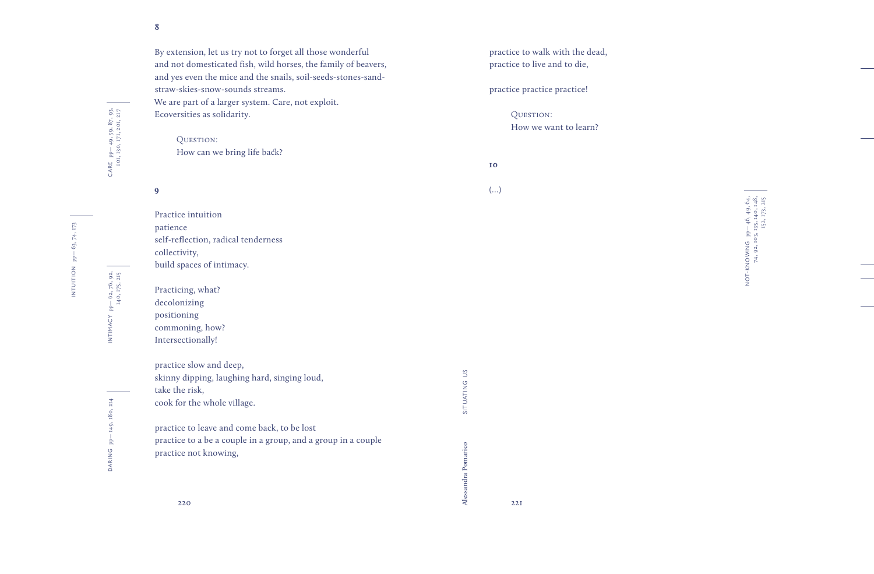By extension, let us try not to forget all those wonderful and not domesticated fish, wild horses, the family of beavers, and yes even the mice and the snails, soil -seeds -stones -sand straw-skies-snow-sounds streams. We are part of a larger system. Care, not exploit. Ecoversities as solidarity.

QUESTION: How can we bring life back?

**9**

**8**

Practice intuition patience self-reflection, radical tenderness collectivity, build spaces of intimacy.

Practicing, what? decolonizing positioning commoning, how? Intersectionally!

take the risk,

practice slow and deep,

cook for the whole village.

practice not knowing,

skinny dipping, laughing hard, singing loud,

practice to leave and come back, to be lost

practice to a be a couple in a group, and a group in a couple

DARING

practice to walk with the dead, practice to live and to die,

practice practice practice!

**10**

QUESTION: How we want to learn?

(…)

NOT-KNOWING pp-46, 49, 64,<br>74, 92, 103, 135, 140, 148,<br>152, 173, 215 NOT-KNOWING pp— 46, 49, 64, 74, 92, 103, 135, 140, 148, 152, 173, 215

CARE pp— 49, 59, 87, 93, 101, 130, 171, 201, 217

CARE pp-49,59,87,93,<br>101,130,171,201,217

INTIMACY pp— 62, 76, 92,

INTIMACY

140, 175, 215

 $pp-62, 76, 92,$ <br>140, 175, 215

220  $\overline{\mathcal{A}}$  221

**Alessandra Pomarico** situating us

SITUATING US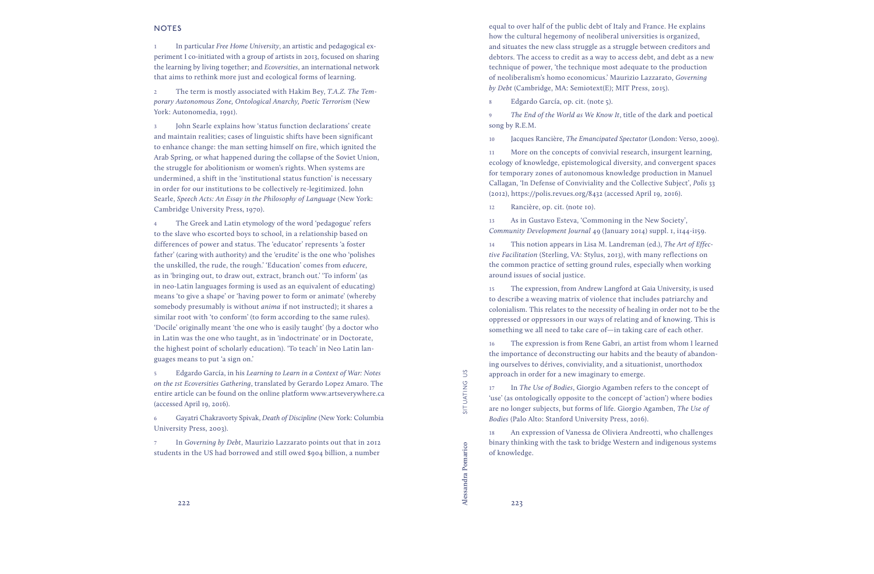**1** In particular *Free Home University*, an artistic and pedagogical experiment I co-initiated with a group of artists in 2013, focused on sharing the learning by living together; and *Ecoversities*, an international network that aims to rethink more just and ecological forms of learning.

**2** The term is mostly associated with Hakim Bey, *T.A.Z. The Temporary Autonomous Zone, Ontological Anarchy, Poetic Terrorism* (New York: Autonomedia, 1991).

**3** John Searle explains how 'status function declarations' create and maintain realities; cases of linguistic shifts have been significant to enhance change: the man setting himself on fire, which ignited the Arab Spring, or what happened during the collapse of the Soviet Union, the struggle for abolitionism or women's rights. When systems are undermined, a shift in the 'institutional status function' is necessary in order for our institutions to be collectively re-legitimized. John Searle, *Speech Acts: An Essay in the Philosophy of Language* (New York: Cambridge University Press, 1970).

**4** The Greek and Latin etymology of the word 'pedagogue' refers to the slave who escorted boys to school, in a relationship based on differences of power and status. The 'educator' represents 'a foster father' (caring with authority) and the 'erudite' is the one who 'polishes the unskilled, the rude, the rough.' 'Education' comes from *educere*, as in 'bringing out, to draw out, extract, branch out.' 'To inform' (as in neo-Latin languages forming is used as an equivalent of educating) means 'to give a shape' or 'having power to form or animate' (whereby somebody presumably is without *anima* if not instructed); it shares a similar root with 'to conform' (to form according to the same rules). 'Docile' originally meant 'the one who is easily taught' (by a doctor who in Latin was the one who taught, as in 'indoctrinate' or in Doctorate, the highest point of scholarly education). 'To teach' in Neo Latin languages means to put 'a sign on.'

**5** Edgardo García, in his *Learning to Learn in a Context of War: Notes on the 1st Ecoversities Gathering*, translated by Gerardo Lopez Amaro. The entire article can be found on the online platform www.artseverywhere.ca (accessed April 19, 2016).

**6** Gayatri Chakravorty Spivak, *Death of Discipline* (New York: Columbia University Press, 2003).

**7** In *Governing by Debt*, Maurizio Lazzarato points out that in 2012 students in the US had borrowed and still owed \$904 billion, a number

 $\tilde{c}$ **Alessandra Pomarico** situating us SITUATING

equal to over half of the public debt of Italy and France. He explains how the cultural hegemony of neoliberal universities is organized, and situates the new class struggle as a struggle between creditors and debtors. The access to credit as a way to access debt, and debt as a new technique of power, 'the technique most adequate to the production of neoliberalism's homo economicus.' Maurizio Lazzarato, *Governing by Debt* (Cambridge, MA: Semiotext(E); MIT Press, 2015).

**8** Edgardo García, op. cit. (note 5).

**9** *The End of the World as We Know It*, title of the dark and poetical song by R.E.M.

**10** Jacques Rancière, *The Emancipated Spectator* (London: Verso, 2009).

**11** More on the concepts of convivial research, insurgent learning, ecology of knowledge, epistemological diversity, and convergent spaces for temporary zones of autonomous knowledge production in Manuel Callagan, 'In Defense of Conviviality and the Collective Subject', *Polis* 33 (2012), https://polis.revues.org/8432 (accessed April 19, 2016).

**12** Rancière, op. cit. (note 10).

**13** As in Gustavo Esteva, 'Commoning in the New Society', *Community Development Journal* 49 (January 2014) suppl. 1, i144-i159.

**14** This notion appears in Lisa M. Landreman (ed.), *The Art of Effective Facilitation* (Sterling, VA: Stylus, 2013), with many reflections on the common practice of setting ground rules, especially when working around issues of social justice.

**15** The expression, from Andrew Langford at Gaia University, is used to describe a weaving matrix of violence that includes patriarchy and colonialism. This relates to the necessity of healing in order not to be the oppressed or oppressors in our ways of relating and of knowing. This is something we all need to take care of—in taking care of each other.

**16** The expression is from Rene Gabri, an artist from whom I learned the importance of deconstructing our habits and the beauty of abandoning ourselves to dérives, conviviality, and a situationist, unorthodox approach in order for a new imaginary to emerge.

**17** In *The Use of Bodies*, Giorgio Agamben refers to the concept of 'use' (as ontologically opposite to the concept of 'action') where bodies are no longer subjects, but forms of life. Giorgio Agamben, *The Use of Bodies* (Palo Alto: Stanford University Press, 2016).

**18** An expression of Vanessa de Oliviera Andreotti, who challenges binary thinking with the task to bridge Western and indigenous systems of knowledge.

222  $\overline{\mathcal{A}}$  223